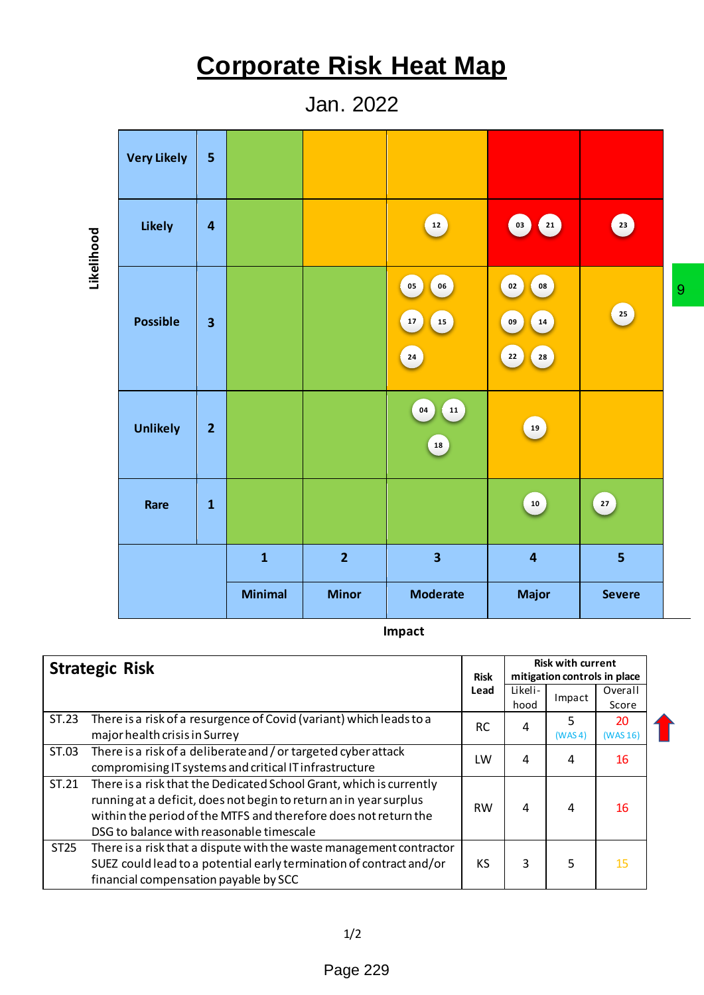## **Corporate Risk Heat Map**

Jan. 2022

|                                                                                                      | <b>Very Likely</b>                                     | 5                       |                |                                                                                                                                            |                            |                     |                                          |              |                                         |   |
|------------------------------------------------------------------------------------------------------|--------------------------------------------------------|-------------------------|----------------|--------------------------------------------------------------------------------------------------------------------------------------------|----------------------------|---------------------|------------------------------------------|--------------|-----------------------------------------|---|
| Likelihood                                                                                           | <b>Likely</b>                                          | 4                       |                |                                                                                                                                            | 12                         |                     | 21<br>03                                 |              | 23                                      |   |
|                                                                                                      | <b>Possible</b>                                        | $\overline{\mathbf{3}}$ |                |                                                                                                                                            | 06<br>05<br>17<br>15<br>24 |                     | 08<br>02<br>09<br>14<br>22<br>${\bf 28}$ |              | 25                                      | 9 |
|                                                                                                      | <b>Unlikely</b>                                        | $\overline{2}$          |                |                                                                                                                                            | 04<br>${\bf 11}$<br>18     |                     | $\bf 19$                                 |              |                                         |   |
|                                                                                                      | Rare                                                   | $\mathbf{1}$            |                |                                                                                                                                            |                            |                     | 10                                       |              | 27                                      |   |
|                                                                                                      |                                                        |                         | $\mathbf{1}$   | $\overline{2}$                                                                                                                             | $\overline{\mathbf{3}}$    |                     | $\overline{4}$                           |              | 5                                       |   |
|                                                                                                      |                                                        |                         | <b>Minimal</b> | <b>Minor</b>                                                                                                                               | <b>Moderate</b>            |                     | <b>Major</b>                             |              | <b>Severe</b>                           |   |
|                                                                                                      |                                                        |                         |                |                                                                                                                                            | Impact                     |                     |                                          |              |                                         |   |
| tegic Risk                                                                                           |                                                        |                         |                |                                                                                                                                            |                            |                     | <b>Risk with current</b>                 |              |                                         |   |
|                                                                                                      |                                                        |                         |                |                                                                                                                                            |                            | <b>Risk</b><br>Lead | Likeli-                                  |              | mitigation controls in place<br>Overall |   |
|                                                                                                      |                                                        |                         |                |                                                                                                                                            |                            |                     | hood                                     | Impact       | Score                                   |   |
| There is a risk of a resurgence of Covid (variant) which leads to a<br>major health crisis in Surrey |                                                        |                         |                |                                                                                                                                            |                            |                     |                                          |              |                                         |   |
|                                                                                                      |                                                        |                         |                |                                                                                                                                            |                            | <b>RC</b>           | 4                                        | 5<br>(WAS 4) | 20<br>(WAS 16)                          |   |
|                                                                                                      |                                                        |                         |                | There is a risk of a deliberate and / or targeted cyber attack                                                                             |                            | LW                  | 4                                        | 4            | 16                                      |   |
|                                                                                                      | compromising IT systems and critical IT infrastructure |                         |                |                                                                                                                                            |                            |                     |                                          |              |                                         |   |
|                                                                                                      |                                                        |                         |                | There is a risk that the Dedicated School Grant, which is currently<br>running at a deficit, does not begin to return an in year surplus   |                            |                     |                                          |              |                                         |   |
|                                                                                                      |                                                        |                         |                | within the period of the MTFS and therefore does not return the                                                                            |                            | <b>RW</b>           | 4                                        | 4            | 16                                      |   |
|                                                                                                      | DSG to balance with reasonable timescale               |                         |                |                                                                                                                                            |                            |                     |                                          |              |                                         |   |
|                                                                                                      |                                                        |                         |                | There is a risk that a dispute with the waste management contractor<br>SUEZ could lead to a potential early termination of contract and/or |                            | KS                  | 3                                        | 5            | 15                                      |   |
|                                                                                                      | financial compensation payable by SCC                  |                         |                |                                                                                                                                            |                            |                     |                                          |              |                                         |   |
|                                                                                                      |                                                        |                         |                | 1/2                                                                                                                                        |                            |                     |                                          |              |                                         |   |

| <b>Strategic Risk</b> |                                                                                                                                                                                                                                                         | <b>Risk</b> | <b>Risk with current</b><br>mitigation controls in place |              |                  |  |
|-----------------------|---------------------------------------------------------------------------------------------------------------------------------------------------------------------------------------------------------------------------------------------------------|-------------|----------------------------------------------------------|--------------|------------------|--|
|                       |                                                                                                                                                                                                                                                         | Lead        | Likeli-<br>hood                                          | Impact       | Overall<br>Score |  |
| ST.23                 | There is a risk of a resurgence of Covid (variant) which leads to a<br>major health crisis in Surrey                                                                                                                                                    | <b>RC</b>   | 4                                                        | 5<br>(WAS 4) | 20<br>(WAS 16)   |  |
| ST.03                 | There is a risk of a deliberate and / or targeted cyber attack<br>compromising IT systems and critical IT infrastructure                                                                                                                                | LW          | 4                                                        | 4            | 16               |  |
| ST.21                 | There is a risk that the Dedicated School Grant, which is currently<br>running at a deficit, does not begin to return an in year surplus<br>within the period of the MTFS and therefore does not return the<br>DSG to balance with reasonable timescale | <b>RW</b>   | 4                                                        | 4            | 16               |  |
| ST <sub>25</sub>      | There is a risk that a dispute with the waste management contractor<br>SUEZ could lead to a potential early termination of contract and/or<br>financial compensation payable by SCC                                                                     | KS          | 3                                                        | 5            | 15               |  |